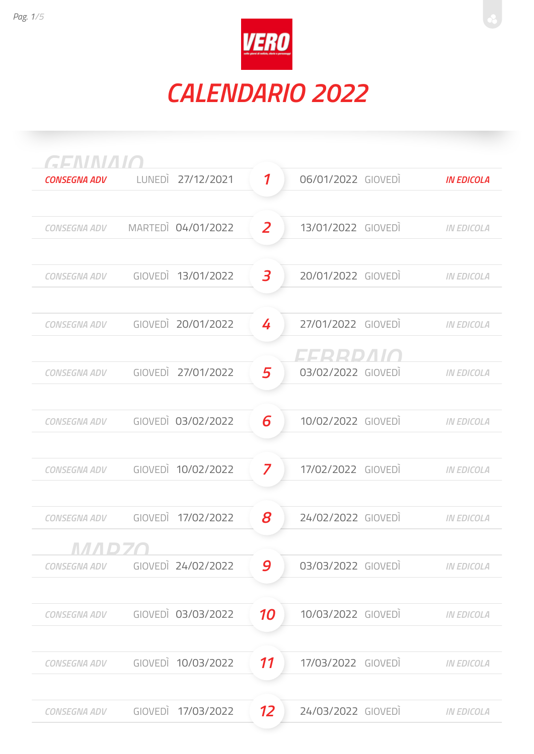

| <b>GENINIAIO</b><br><b>CONSEGNA ADV</b> | LUNEDI 27/12/2021  | $\boldsymbol{\mathcal{I}}$ | 06/01/2022 GIOVEDI               | <b>IN EDICOLA</b> |
|-----------------------------------------|--------------------|----------------------------|----------------------------------|-------------------|
|                                         |                    |                            |                                  |                   |
| <b>CONSEGNA ADV</b>                     | MARTEDI 04/01/2022 | 2                          | 13/01/2022 GIOVEDI               | <b>IN EDICOLA</b> |
| <b>CONSEGNA ADV</b>                     | GIOVEDI 13/01/2022 | 3                          | 20/01/2022 GIOVEDI               | <b>IN EDICOLA</b> |
| <b>CONSEGNA ADV</b>                     | GIOVEDI 20/01/2022 | 4                          | 27/01/2022 GIOVEDI               | <b>IN EDICOLA</b> |
| CONSEGNA ADV                            | GIOVEDI 27/01/2022 | 5                          | CCODO ALIA<br>03/02/2022 GIOVEDÌ | <b>IN EDICOLA</b> |
| <b>CONSEGNA ADV</b>                     | GIOVEDI 03/02/2022 | 6                          | 10/02/2022 GIOVEDI               | <b>IN EDICOLA</b> |
| <b>CONSEGNA ADV</b>                     | GIOVEDI 10/02/2022 | 7                          | 17/02/2022 GIOVEDI               | <b>IN EDICOLA</b> |
| <b>CONSEGNA ADV</b>                     | GIOVEDI 17/02/2022 | 8                          | 24/02/2022 GIOVEDI               | <b>IN EDICOLA</b> |
| <b>CONSEGNA ADV</b>                     | GIOVEDI 24/02/2022 | 9                          | 03/03/2022 GIOVEDI               | <b>IN EDICOLA</b> |
| <b>CONSEGNA ADV</b>                     | GIOVEDI 03/03/2022 | 10                         | 10/03/2022 GIOVEDI               | <b>IN EDICOLA</b> |
| <b>CONSEGNA ADV</b>                     | GIOVEDI 10/03/2022 | 11                         | 17/03/2022 GIOVEDI               | <b>IN EDICOLA</b> |
| <b>CONSEGNA ADV</b>                     | GIOVEDI 17/03/2022 | 12                         | 24/03/2022 GIOVEDI               | <b>IN EDICOLA</b> |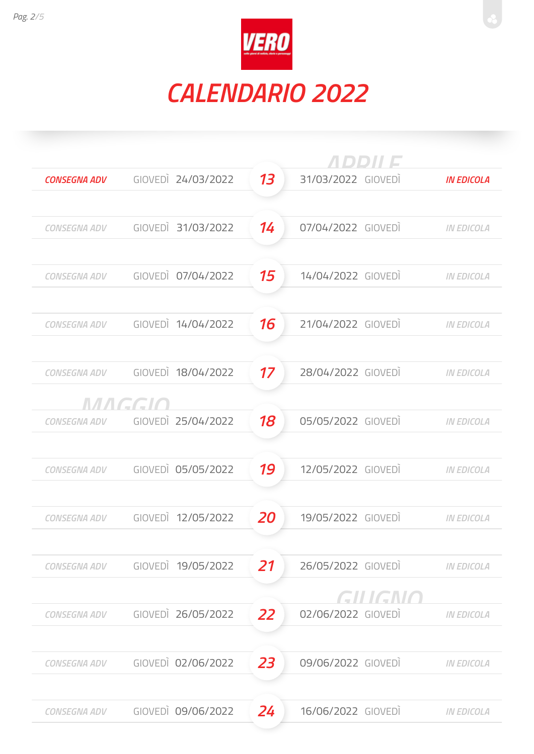

|                     |        |                    | <i>ADDII E</i> |                    |                   |  |
|---------------------|--------|--------------------|----------------|--------------------|-------------------|--|
| <b>CONSEGNA ADV</b> |        | GIOVEDI 24/03/2022 | 13             | 31/03/2022 GIOVEDI | <b>IN EDICOLA</b> |  |
|                     |        |                    |                |                    |                   |  |
| <b>CONSEGNA ADV</b> |        | GIOVEDI 31/03/2022 | 14             | 07/04/2022 GIOVEDI | <b>IN EDICOLA</b> |  |
|                     |        |                    |                |                    |                   |  |
| <b>CONSEGNA ADV</b> |        | GIOVEDI 07/04/2022 | 15             | 14/04/2022 GIOVEDI | <b>IN EDICOLA</b> |  |
|                     |        |                    |                |                    |                   |  |
| <b>CONSEGNA ADV</b> |        | GIOVEDI 14/04/2022 | 16             | 21/04/2022 GIOVEDI | <b>IN EDICOLA</b> |  |
|                     |        |                    |                |                    |                   |  |
| <b>CONSEGNA ADV</b> |        | GIOVEDI 18/04/2022 | 17             | 28/04/2022 GIOVEDI | <b>IN EDICOLA</b> |  |
|                     | MAGGIO |                    |                |                    |                   |  |
| CONSEGNA ADV        |        | GIOVEDI 25/04/2022 | 18             | 05/05/2022 GIOVEDI | <b>IN EDICOLA</b> |  |
|                     |        |                    |                |                    |                   |  |
| <b>CONSEGNA ADV</b> |        | GIOVEDI 05/05/2022 | 19             | 12/05/2022 GIOVEDI | <b>IN EDICOLA</b> |  |
|                     |        |                    |                |                    |                   |  |
| <b>CONSEGNA ADV</b> |        | GIOVEDI 12/05/2022 | 20             | 19/05/2022 GIOVEDI | <b>IN EDICOLA</b> |  |
|                     |        |                    |                |                    |                   |  |
| <b>CONSEGNA ADV</b> |        | GIOVEDI 19/05/2022 | 21             | 26/05/2022 GIOVEDI | <b>IN EDICOLA</b> |  |
|                     |        |                    |                | GILIGNO            |                   |  |
| <b>CONSEGNA ADV</b> |        | GIOVEDI 26/05/2022 | 22             | 02/06/2022 GIOVEDI | <b>IN EDICOLA</b> |  |
|                     |        |                    |                |                    |                   |  |
| <b>CONSEGNA ADV</b> |        | GIOVEDI 02/06/2022 | 23             | 09/06/2022 GIOVEDI | <b>IN EDICOLA</b> |  |
|                     |        |                    |                |                    |                   |  |
| <b>CONSEGNA ADV</b> |        | GIOVEDI 09/06/2022 | 24             | 16/06/2022 GIOVEDI | <b>IN EDICOLA</b> |  |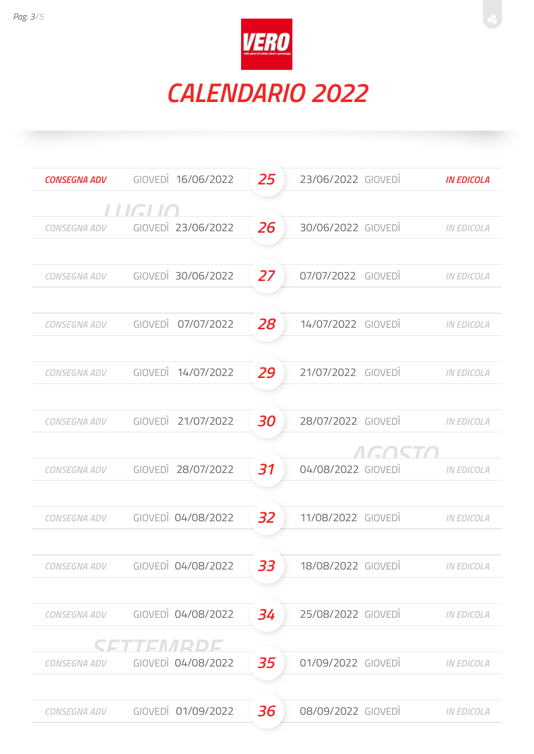

| <b>CONSEGNA ADV</b> | GIOVEDI 16/06/2022 | 25 | 23/06/2022 GIOVEDI | <b>IN EDICOLA</b> |
|---------------------|--------------------|----|--------------------|-------------------|
|                     | LLIGI IN           |    |                    |                   |
| <b>CONSEGNA ADV</b> | GIOVEDI 23/06/2022 | 26 | 30/06/2022 GIOVEDI | <b>IN EDICOLA</b> |
|                     |                    |    |                    |                   |
| <b>CONSEGNA ADV</b> | GIOVEDI 30/06/2022 | 27 | 07/07/2022 GIOVEDI | <b>IN EDICOLA</b> |
|                     |                    |    |                    |                   |
| <b>CONSEGNA ADV</b> | GIOVEDI 07/07/2022 | 28 | 14/07/2022 GIOVEDI | <b>IN EDICOLA</b> |
| <b>CONSEGNA ADV</b> | GIOVEDI 14/07/2022 | 29 | 21/07/2022 GIOVEDI | <b>IN EDICOLA</b> |
|                     |                    |    |                    |                   |
| <b>CONSEGNA ADV</b> | GIOVEDI 21/07/2022 | 30 | 28/07/2022 GIOVEDI | <b>IN EDICOLA</b> |
|                     |                    |    |                    |                   |
| <b>CONSEGNA ADV</b> | GIOVEDI 28/07/2022 | 31 | 04/08/2022 GIOVEDI | <b>IN EDICOLA</b> |
|                     |                    |    |                    |                   |
| <b>CONSEGNA ADV</b> | GIOVEDI 04/08/2022 | 32 | 11/08/2022 GIOVEDI | <b>IN EDICOLA</b> |
| CONSEGNA ADV        | GIOVEDI 04/08/2022 | 33 | 18/08/2022 GIOVEDI | <b>IN EDICOLA</b> |
|                     |                    |    |                    |                   |
| CONSEGNA ADV        | GIOVEDI 04/08/2022 | 34 | 25/08/2022 GIOVEDI | <b>IN EDICOLA</b> |
|                     | SI SI ALE IVIRIDIS |    |                    |                   |
| CONSEGNA ADV        | GIOVEDI 04/08/2022 | 35 | 01/09/2022 GIOVEDI | <b>IN EDICOLA</b> |
|                     |                    |    |                    |                   |
| <b>CONSEGNA ADV</b> | GIOVEDI 01/09/2022 | 36 | 08/09/2022 GIOVEDI | <b>IN EDICOLA</b> |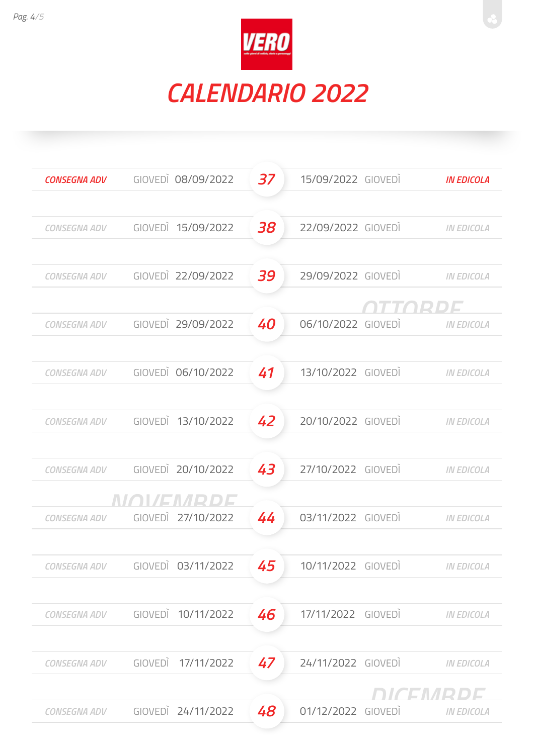

| <b>CONSEGNA ADV</b> | GIOVEDI 08/09/2022                           | 37 | 15/09/2022 GIOVEDI | <b>IN EDICOLA</b> |
|---------------------|----------------------------------------------|----|--------------------|-------------------|
|                     |                                              |    |                    |                   |
| CONSEGNA ADV        | GIOVEDI 15/09/2022                           | 38 | 22/09/2022 GIOVEDI | <b>IN EDICOLA</b> |
| CONSEGNA ADV        | GIOVEDI 22/09/2022                           | 39 | 29/09/2022 GIOVEDI | <b>IN EDICOLA</b> |
|                     |                                              |    |                    |                   |
| CONSEGNA ADV        | GIOVEDI 29/09/2022                           | 40 | 06/10/2022 GIOVEDI | <b>IN EDICOLA</b> |
| CONSEGNA ADV        | GIOVEDI 06/10/2022                           | 41 | 13/10/2022 GIOVEDI | <b>IN EDICOLA</b> |
|                     |                                              |    |                    |                   |
| CONSEGNA ADV        | GIOVEDI 13/10/2022                           | 42 | 20/10/2022 GIOVEDI | <b>IN EDICOLA</b> |
|                     | GIOVEDI 20/10/2022                           |    | 27/10/2022 GIOVEDI |                   |
| CONSEGNA ADV        |                                              | 43 |                    | <b>IN EDICOLA</b> |
|                     | NOVEMBRDE<br>CONSEGNA ADV GIOVEDI 27/10/2022 | 44 | 03/11/2022 GIOVEDI | <b>IN EDICOLA</b> |
| CONSEGNA ADV        | GIOVEDI 03/11/2022                           | 45 | 10/11/2022 GIOVEDI | <b>IN EDICOLA</b> |
|                     |                                              |    |                    |                   |
| <b>CONSEGNA ADV</b> | GIOVEDI 10/11/2022                           | 46 | 17/11/2022 GIOVEDÌ | <b>IN EDICOLA</b> |
| <b>CONSEGNA ADV</b> | GIOVEDI 17/11/2022                           | 47 | 24/11/2022 GIOVEDI | <b>IN EDICOLA</b> |
|                     |                                              |    |                    | DICEMBDE          |
| <b>CONSEGNA ADV</b> | GIOVEDI 24/11/2022                           | 48 | 01/12/2022 GIOVEDI | <b>IN EDICOLA</b> |